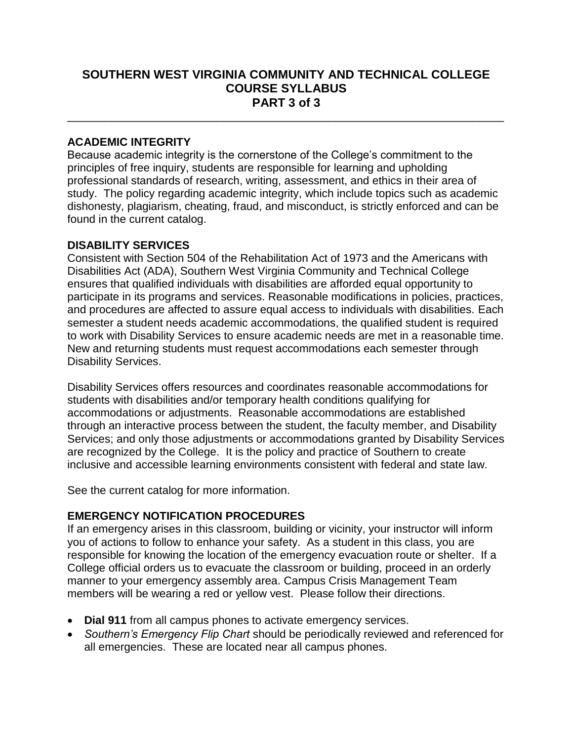# **SOUTHERN WEST VIRGINIA COMMUNITY AND TECHNICAL COLLEGE COURSE SYLLABUS PART 3 of 3**

\_\_\_\_\_\_\_\_\_\_\_\_\_\_\_\_\_\_\_\_\_\_\_\_\_\_\_\_\_\_\_\_\_\_\_\_\_\_\_\_\_\_\_\_\_\_\_\_\_\_\_\_\_\_\_\_\_\_\_\_\_\_\_\_\_\_\_\_\_\_

#### **ACADEMIC INTEGRITY**

Because academic integrity is the cornerstone of the College's commitment to the principles of free inquiry, students are responsible for learning and upholding professional standards of research, writing, assessment, and ethics in their area of study. The policy regarding academic integrity, which include topics such as academic dishonesty, plagiarism, cheating, fraud, and misconduct, is strictly enforced and can be found in the current catalog.

#### **DISABILITY SERVICES**

Consistent with Section 504 of the Rehabilitation Act of 1973 and the Americans with Disabilities Act (ADA), Southern West Virginia Community and Technical College ensures that qualified individuals with disabilities are afforded equal opportunity to participate in its programs and services. Reasonable modifications in policies, practices, and procedures are affected to assure equal access to individuals with disabilities. Each semester a student needs academic accommodations, the qualified student is required to work with Disability Services to ensure academic needs are met in a reasonable time. New and returning students must request accommodations each semester through Disability Services.

Disability Services offers resources and coordinates reasonable accommodations for students with disabilities and/or temporary health conditions qualifying for accommodations or adjustments. Reasonable accommodations are established through an interactive process between the student, the faculty member, and Disability Services; and only those adjustments or accommodations granted by Disability Services are recognized by the College. It is the policy and practice of Southern to create inclusive and accessible learning environments consistent with federal and state law.

See the current catalog for more information.

## **EMERGENCY NOTIFICATION PROCEDURES**

If an emergency arises in this classroom, building or vicinity, your instructor will inform you of actions to follow to enhance your safety. As a student in this class, you are responsible for knowing the location of the emergency evacuation route or shelter. If a College official orders us to evacuate the classroom or building, proceed in an orderly manner to your emergency assembly area. Campus Crisis Management Team members will be wearing a red or yellow vest. Please follow their directions.

- **Dial 911** from all campus phones to activate emergency services.
- *Southern's Emergency Flip Chart* should be periodically reviewed and referenced for all emergencies. These are located near all campus phones.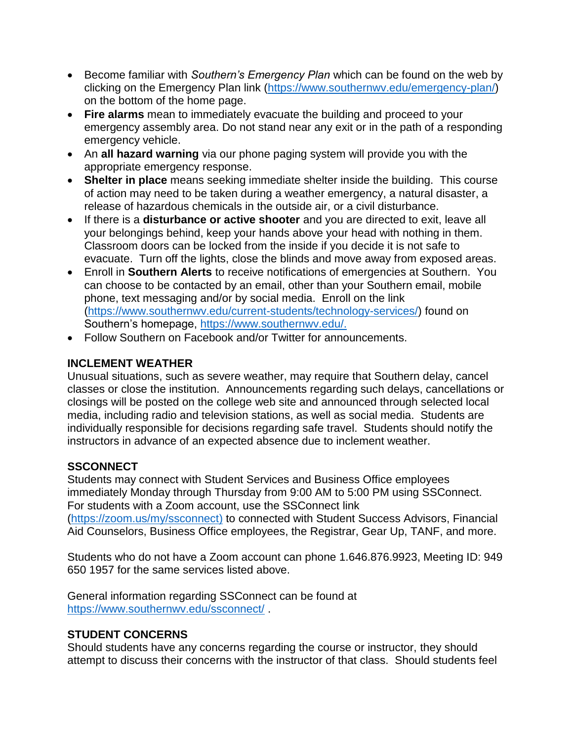- Become familiar with *Southern's Emergency Plan* which can be found on the web by clicking on the Emergency Plan link [\(https://www.southernwv.edu/emergency-plan/\)](https://www.southernwv.edu/emergency-plan/) on the bottom of the home page.
- **Fire alarms** mean to immediately evacuate the building and proceed to your emergency assembly area. Do not stand near any exit or in the path of a responding emergency vehicle.
- An **all hazard warning** via our phone paging system will provide you with the appropriate emergency response.
- **Shelter in place** means seeking immediate shelter inside the building. This course of action may need to be taken during a weather emergency, a natural disaster, a release of hazardous chemicals in the outside air, or a civil disturbance.
- If there is a **disturbance or active shooter** and you are directed to exit, leave all your belongings behind, keep your hands above your head with nothing in them. Classroom doors can be locked from the inside if you decide it is not safe to evacuate. Turn off the lights, close the blinds and move away from exposed areas.
- Enroll in **Southern Alerts** to receive notifications of emergencies at Southern. You can choose to be contacted by an email, other than your Southern email, mobile phone, text messaging and/or by social media. Enroll on the link [\(https://www.southernwv.edu/current-students/technology-services/\)](https://www.southernwv.edu/current-students/technology-services/) found on Southern's homepage, [https://www.southernwv.edu/.](https://www.southernwv.edu/)
- Follow Southern on Facebook and/or Twitter for announcements.

## **INCLEMENT WEATHER**

Unusual situations, such as severe weather, may require that Southern delay, cancel classes or close the institution. Announcements regarding such delays, cancellations or closings will be posted on the college web site and announced through selected local media, including radio and television stations, as well as social media. Students are individually responsible for decisions regarding safe travel. Students should notify the instructors in advance of an expected absence due to inclement weather.

## **SSCONNECT**

Students may connect with Student Services and Business Office employees immediately Monday through Thursday from 9:00 AM to 5:00 PM using SSConnect. For students with a Zoom account, use the SSConnect link [\(https://zoom.us/my/ssconnect\)](https://zoom.us/my/ssconnect) to connected with Student Success Advisors, Financial Aid Counselors, Business Office employees, the Registrar, Gear Up, TANF, and more.

Students who do not have a Zoom account can phone 1.646.876.9923, Meeting ID: 949 650 1957 for the same services listed above.

General information regarding SSConnect can be found at <https://www.southernwv.edu/ssconnect/> .

## **STUDENT CONCERNS**

Should students have any concerns regarding the course or instructor, they should attempt to discuss their concerns with the instructor of that class. Should students feel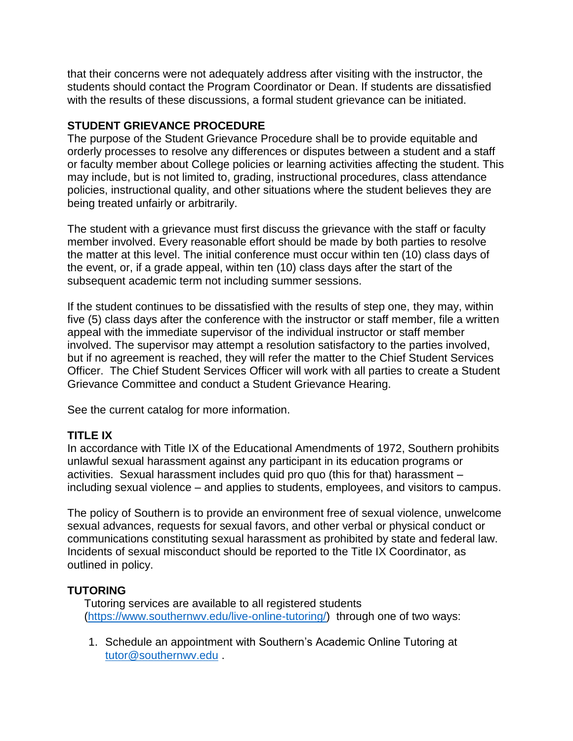that their concerns were not adequately address after visiting with the instructor, the students should contact the Program Coordinator or Dean. If students are dissatisfied with the results of these discussions, a formal student grievance can be initiated.

## **STUDENT GRIEVANCE PROCEDURE**

The purpose of the Student Grievance Procedure shall be to provide equitable and orderly processes to resolve any differences or disputes between a student and a staff or faculty member about College policies or learning activities affecting the student. This may include, but is not limited to, grading, instructional procedures, class attendance policies, instructional quality, and other situations where the student believes they are being treated unfairly or arbitrarily.

The student with a grievance must first discuss the grievance with the staff or faculty member involved. Every reasonable effort should be made by both parties to resolve the matter at this level. The initial conference must occur within ten (10) class days of the event, or, if a grade appeal, within ten (10) class days after the start of the subsequent academic term not including summer sessions.

If the student continues to be dissatisfied with the results of step one, they may, within five (5) class days after the conference with the instructor or staff member, file a written appeal with the immediate supervisor of the individual instructor or staff member involved. The supervisor may attempt a resolution satisfactory to the parties involved, but if no agreement is reached, they will refer the matter to the Chief Student Services Officer. The Chief Student Services Officer will work with all parties to create a Student Grievance Committee and conduct a Student Grievance Hearing.

See the current catalog for more information.

## **TITLE IX**

In accordance with Title IX of the Educational Amendments of 1972, Southern prohibits unlawful sexual harassment against any participant in its education programs or activities. Sexual harassment includes quid pro quo (this for that) harassment – including sexual violence – and applies to students, employees, and visitors to campus.

The policy of Southern is to provide an environment free of sexual violence, unwelcome sexual advances, requests for sexual favors, and other verbal or physical conduct or communications constituting sexual harassment as prohibited by state and federal law. Incidents of sexual misconduct should be reported to the Title IX Coordinator, as outlined in policy.

# **TUTORING**

Tutoring services are available to all registered students [\(https://www.southernwv.edu/live-online-tutoring/\)](https://www.southernwv.edu/live-online-tutoring/) through one of two ways:

1. Schedule an appointment with Southern's Academic Online Tutoring at [tutor@southernwv.edu](mailto:tutor@southernwv.edu) .